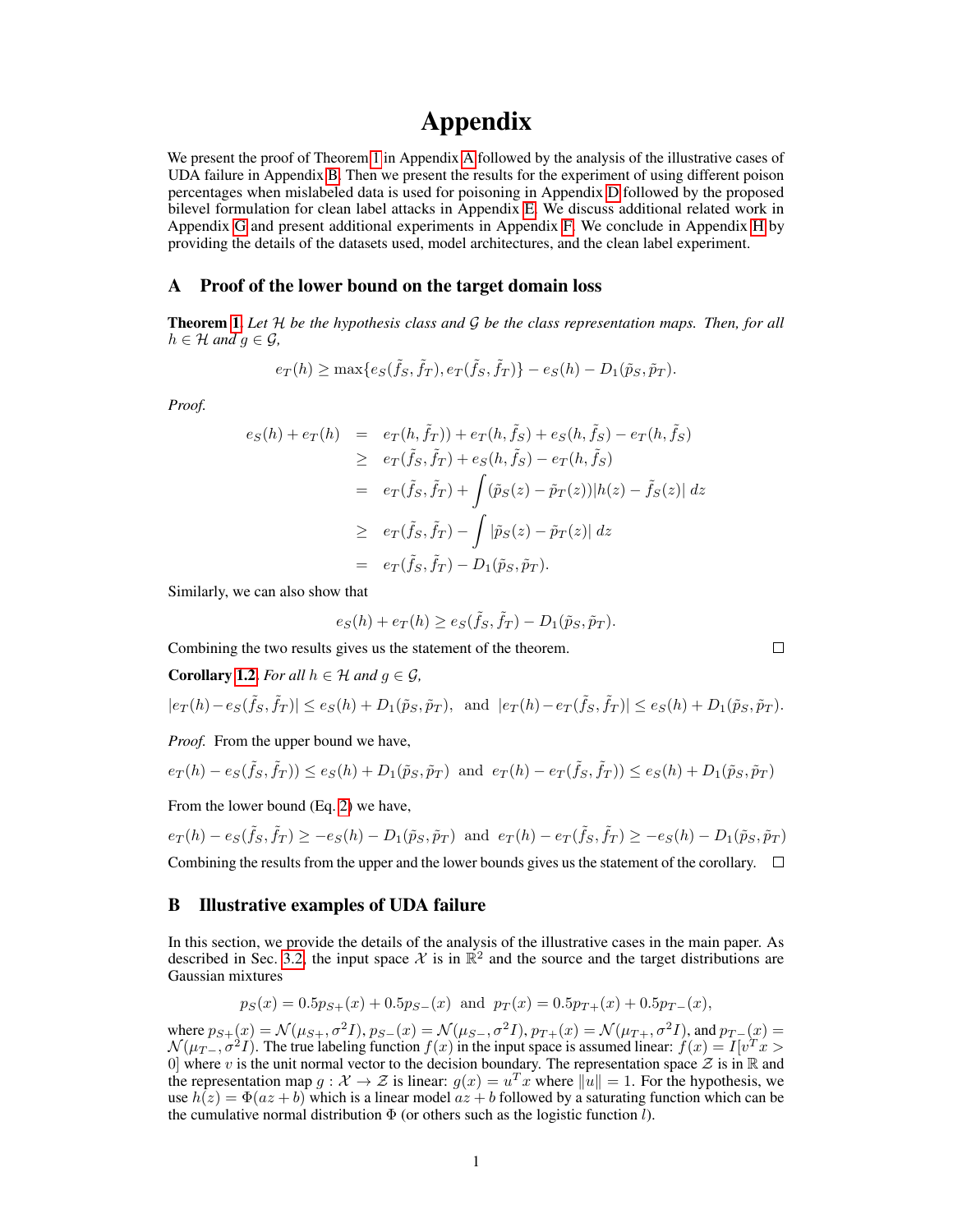# Appendix

We present the proof of Theorem [1](#page--1-0) in Appendix [A](#page-0-0) followed by the analysis of the illustrative cases of UDA failure in Appendix [B.](#page-0-1) Then we present the results for the experiment of using different poison percentages when mislabeled data is used for poisoning in Appendix [D](#page-3-0) followed by the proposed bilevel formulation for clean label attacks in Appendix [E.](#page-4-0) We discuss additional related work in Appendix [G](#page-6-0) and present additional experiments in Appendix [F.](#page-4-1) We conclude in Appendix [H](#page-7-0) by providing the details of the datasets used, model architectures, and the clean label experiment.

## <span id="page-0-0"></span>A Proof of the lower bound on the target domain loss

Theorem [1.](#page--1-0) *Let* H *be the hypothesis class and* G *be the class representation maps. Then, for all*  $h \in \mathcal{H}$  and  $q \in \mathcal{G}$ ,

$$
e_T(h) \ge \max\{e_S(\tilde{f}_S, \tilde{f}_T), e_T(\tilde{f}_S, \tilde{f}_T)\} - e_S(h) - D_1(\tilde{p}_S, \tilde{p}_T).
$$

*Proof.*

$$
e_S(h) + e_T(h) = e_T(h, \tilde{f}_T)) + e_T(h, \tilde{f}_S) + e_S(h, \tilde{f}_S) - e_T(h, \tilde{f}_S)
$$
  
\n
$$
\geq e_T(\tilde{f}_S, \tilde{f}_T) + e_S(h, \tilde{f}_S) - e_T(h, \tilde{f}_S)
$$
  
\n
$$
= e_T(\tilde{f}_S, \tilde{f}_T) + \int (\tilde{p}_S(z) - \tilde{p}_T(z)) |h(z) - \tilde{f}_S(z)| dz
$$
  
\n
$$
\geq e_T(\tilde{f}_S, \tilde{f}_T) - \int |\tilde{p}_S(z) - \tilde{p}_T(z)| dz
$$
  
\n
$$
= e_T(\tilde{f}_S, \tilde{f}_T) - D_1(\tilde{p}_S, \tilde{p}_T).
$$

Similarly, we can also show that

$$
e_S(h) + e_T(h) \ge e_S(\tilde{f}_S, \tilde{f}_T) - D_1(\tilde{p}_S, \tilde{p}_T).
$$

 $\Box$ 

Combining the two results gives us the statement of the theorem.

**Corollary 1.2.** For all 
$$
h \in \mathcal{H}
$$
 and  $g \in \mathcal{G}$ ,  
 $|e_T(h) - e_S(\tilde{f}_S, \tilde{f}_T)| \le e_S(h) + D_1(\tilde{p}_S, \tilde{p}_T)$ , and  $|e_T(h) - e_T(\tilde{f}_S, \tilde{f}_T)| \le e_S(h) + D_1(\tilde{p}_S, \tilde{p}_T)$ .

*Proof.* From the upper bound we have,

$$
e_T(h) - e_S(\tilde{f}_S, \tilde{f}_T)) \le e_S(h) + D_1(\tilde{p}_S, \tilde{p}_T) \text{ and } e_T(h) - e_T(\tilde{f}_S, \tilde{f}_T)) \le e_S(h) + D_1(\tilde{p}_S, \tilde{p}_T)
$$

From the lower bound (Eq. [2\)](#page--1-2) we have,

$$
e_T(h) - e_S(\tilde{f}_S, \tilde{f}_T) \ge -e_S(h) - D_1(\tilde{p}_S, \tilde{p}_T) \text{ and } e_T(h) - e_T(\tilde{f}_S, \tilde{f}_T) \ge -e_S(h) - D_1(\tilde{p}_S, \tilde{p}_T)
$$

Combining the results from the upper and the lower bounds gives us the statement of the corollary.  $\square$ 

#### <span id="page-0-1"></span>B Illustrative examples of UDA failure

In this section, we provide the details of the analysis of the illustrative cases in the main paper. As described in Sec. [3.2,](#page--1-3) the input space X is in  $\mathbb{R}^2$  and the source and the target distributions are Gaussian mixtures

$$
p_S(x) = 0.5p_{S+}(x) + 0.5p_{S-}(x)
$$
 and  $p_T(x) = 0.5p_{T+}(x) + 0.5p_{T-}(x)$ ,

where  $p_{S+}(x) = \mathcal{N}(\mu_{S+}, \sigma^2 I), p_{S-}(x) = \mathcal{N}(\mu_{S-}, \sigma^2 I), p_{T+}(x) = \mathcal{N}(\mu_{T+}, \sigma^2 I)$ , and  $p_{T-}(x) =$  $\mathcal{N}(\mu_{T-}, \sigma^2 I)$ . The true labeling function  $f(x)$  in the input space is assumed linear:  $f(x) = I[v^T x >$ 0] where v is the unit normal vector to the decision boundary. The representation space  $\mathcal Z$  is in  $\mathbb R$  and the representation map  $g: \mathcal{X} \to \mathcal{Z}$  is linear:  $g(x) = u^T x$  where  $\|\hat{u}\| = 1$ . For the hypothesis, we use  $h(z) = \Phi(az + b)$  which is a linear model  $az + b$  followed by a saturating function which can be the cumulative normal distribution  $\Phi$  (or others such as the logistic function  $l$ ).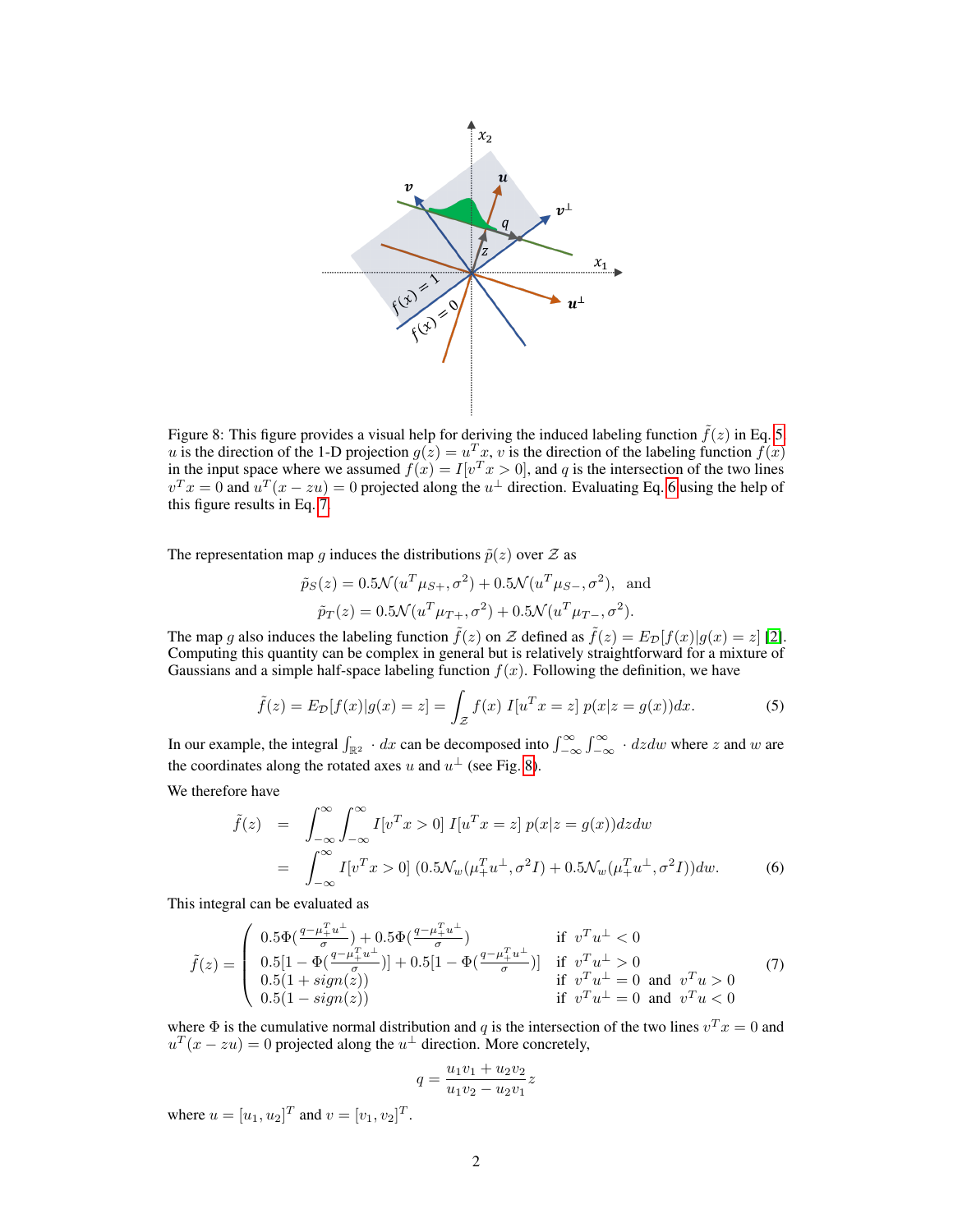<span id="page-1-3"></span>

Figure 8: This figure provides a visual help for deriving the induced labeling function  $\tilde{f}(z)$  in Eq. [5.](#page-1-0) u is the direction of the 1-D projection  $g(z) = u^T x$ , v is the direction of the labeling function  $\hat{f}(x)$ in the input space where we assumed  $f(x) = I[v^T x > 0]$ , and q is the intersection of the two lines  $v^T x = 0$  and  $u^T (x - z u) = 0$  projected along the  $u^{\perp}$  direction. Evaluating Eq. [6](#page-1-1) using the help of this figure results in Eq.  $\acute{7}$ .

The representation map g induces the distributions  $\tilde{p}(z)$  over  $\mathcal Z$  as

<span id="page-1-0"></span>
$$
\tilde{p}_S(z) = 0.5 \mathcal{N}(u^T \mu_{S+}, \sigma^2) + 0.5 \mathcal{N}(u^T \mu_{S-}, \sigma^2)
$$
, and  
\n $\tilde{p}_T(z) = 0.5 \mathcal{N}(u^T \mu_{T+}, \sigma^2) + 0.5 \mathcal{N}(u^T \mu_{T-}, \sigma^2)$ .

The map g also induces the labeling function  $\tilde{f}(z)$  on Z defined as  $\tilde{f}(z) = E_{\mathcal{D}}[f(x)|g(x) = z]$  [\[2\]](#page--1-4). Computing this quantity can be complex in general but is relatively straightforward for a mixture of Gaussians and a simple half-space labeling function  $f(x)$ . Following the definition, we have

$$
\tilde{f}(z) = E_{\mathcal{D}}[f(x)|g(x) = z] = \int_{\mathcal{Z}} f(x) I[u^T x = z] p(x|z = g(x)) dx.
$$
 (5)

In our example, the integral  $\int_{\mathbb{R}^2} \cdot dx$  can be decomposed into  $\int_{-\infty}^{\infty} \int_{-\infty}^{\infty} \cdot dz dw$  where z and w are the coordinates along the rotated axes u and  $u^{\perp}$  (see Fig. [8\)](#page-1-3).

We therefore have

<span id="page-1-2"></span><span id="page-1-1"></span>
$$
\tilde{f}(z) = \int_{-\infty}^{\infty} \int_{-\infty}^{\infty} I[v^T x > 0] I[u^T x = z] p(x|z = g(x)) dz dw
$$
  
\n
$$
= \int_{-\infty}^{\infty} I[v^T x > 0] (0.5 \mathcal{N}_w(\mu_+^T u_-^{\perp}, \sigma^2 I) + 0.5 \mathcal{N}_w(\mu_+^T u_-^{\perp}, \sigma^2 I)) dw.
$$
 (6)

This integral can be evaluated as

$$
\tilde{f}(z) = \begin{pmatrix}\n0.5\Phi(\frac{q-\mu_{+}^{T}u^{\perp}}{\sigma}) + 0.5\Phi(\frac{q-\mu_{+}^{T}u^{\perp}}{\sigma}) & \text{if } v^{T}u^{\perp} < 0 \\
0.5[1 - \Phi(\frac{q-\mu_{+}^{T}u^{\perp}}{\sigma})] + 0.5[1 - \Phi(\frac{q-\mu_{+}^{T}u^{\perp}}{\sigma})] & \text{if } v^{T}u^{\perp} > 0 \\
0.5(1 + sign(z)) & \text{if } v^{T}u^{\perp} = 0 \text{ and } v^{T}u > 0 \\
0.5(1 - sign(z)) & \text{if } v^{T}u^{\perp} = 0 \text{ and } v^{T}u < 0\n\end{pmatrix} \tag{7}
$$

where  $\Phi$  is the cumulative normal distribution and q is the intersection of the two lines  $v^T x = 0$  and  $u<sup>T</sup>(x - zu) = 0$  projected along the  $u<sup>\perp</sup>$  direction. More concretely,

$$
q = \frac{u_1v_1 + u_2v_2}{u_1v_2 - u_2v_1}z
$$

where  $u = [u_1, u_2]^T$  and  $v = [v_1, v_2]^T$ .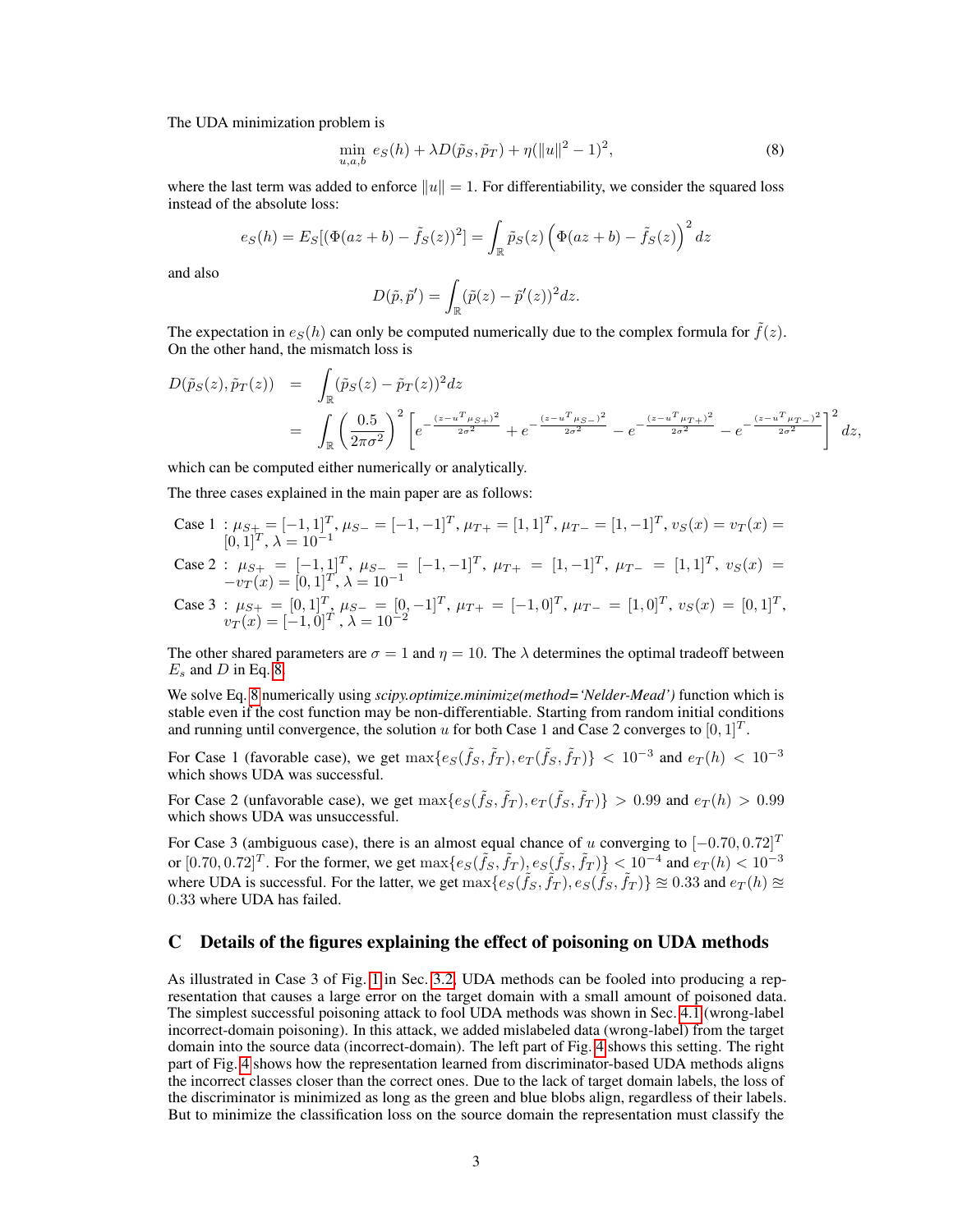The UDA minimization problem is

<span id="page-2-0"></span>
$$
\min_{u,a,b} e_S(h) + \lambda D(\tilde{p}_S, \tilde{p}_T) + \eta (||u||^2 - 1)^2,
$$
\n(8)

where the last term was added to enforce  $||u|| = 1$ . For differentiability, we consider the squared loss instead of the absolute loss:

$$
e_S(h) = E_S[(\Phi(az+b) - \tilde{f}_S(z))^2] = \int_{\mathbb{R}} \tilde{p}_S(z) (\Phi(az+b) - \tilde{f}_S(z))^2 dz
$$

and also

$$
D(\tilde{p}, \tilde{p}') = \int_{\mathbb{R}} (\tilde{p}(z) - \tilde{p}'(z))^2 dz.
$$

The expectation in  $e_S(h)$  can only be computed numerically due to the complex formula for  $\hat{f}(z)$ . On the other hand, the mismatch loss is

$$
D(\tilde{p}_S(z), \tilde{p}_T(z)) = \int_{\mathbb{R}} (\tilde{p}_S(z) - \tilde{p}_T(z))^2 dz
$$
  
= 
$$
\int_{\mathbb{R}} \left(\frac{0.5}{2\pi\sigma^2}\right)^2 \left[e^{-\frac{(z-u^T\mu_S+)^2}{2\sigma^2}} + e^{-\frac{(z-u^T\mu_S-)^2}{2\sigma^2}} - e^{-\frac{(z-u^T\mu_T+)^2}{2\sigma^2}} - e^{-\frac{(z-u^T\mu_T-)^2}{2\sigma^2}}\right]^2 dz,
$$

which can be computed either numerically or analytically.

The three cases explained in the main paper are as follows:

Case  $1: \mu_{S+} = [-1, 1]^T$ ,  $\mu_{S-} = [-1, -1]^T$ ,  $\mu_{T+} = [1, 1]^T$ ,  $\mu_{T-} = [1, -1]^T$ ,  $v_S(x) = v_T(x)$  $[0,1]^T$ ,  $\lambda = 10^{-1}$ 

Case 2: 
$$
\mu_{S+} = [-1, 1]^T
$$
,  $\mu_{S-} = [-1, -1]^T$ ,  $\mu_{T+} = [1, -1]^T$ ,  $\mu_{T-} = [1, 1]^T$ ,  $v_S(x) = -v_T(x) = [0, 1]^T$ ,  $\lambda = 10^{-1}$ 

Case 3: 
$$
\mu_{S+} = [0, 1]^T
$$
,  $\mu_{S-} = [0, -1]^T$ ,  $\mu_{T+} = [-1, 0]^T$ ,  $\mu_{T-} = [1, 0]^T$ ,  $v_S(x) = [0, 1]^T$ ,  $v_T(x) = [-1, 0]^T$ ,  $\lambda = 10^{-2}$ 

The other shared parameters are  $\sigma = 1$  and  $\eta = 10$ . The  $\lambda$  determines the optimal tradeoff between  $E_s$  and  $D$  in Eq. [8.](#page-2-0)

We solve Eq. [8](#page-2-0) numerically using *scipy.optimize.minimize(method='Nelder-Mead')* function which is stable even if the cost function may be non-differentiable. Starting from random initial conditions and running until convergence, the solution u for both Case 1 and Case 2 converges to  $[0, 1]^T$ .

For Case 1 (favorable case), we get  $\max\{e_S(\tilde{f}_S, \tilde{f}_T), e_T(\tilde{f}_S, \tilde{f}_T)\}$  < 10<sup>-3</sup> and  $e_T(h)$  < 10<sup>-3</sup> which shows UDA was successful.

For Case 2 (unfavorable case), we get  $\max\{e_S(\tilde{f}_S, \tilde{f}_T), e_T(\tilde{f}_S, \tilde{f}_T)\} > 0.99$  and  $e_T(h) > 0.99$ which shows UDA was unsuccessful.

For Case 3 (ambiguous case), there is an almost equal chance of u converging to  $[-0.70, 0.72]^{T}$ or  $[0.70, 0.72]^T$ . For the former, we get  $\max\{e_S(\tilde{f}_S, \tilde{f}_T), e_S(\tilde{f}_S, \tilde{f}_T)\} < 10^{-4}$  and  $e_T(h) < 10^{-3}$ where UDA is successful. For the latter, we get  $\max\{e_S(\tilde{f}_S, \tilde{f}_T), e_S(\tilde{f}_S, \tilde{f}_T)\}\approx 0.33$  and  $e_T(h) \approx$ 0.33 where UDA has failed.

## C Details of the figures explaining the effect of poisoning on UDA methods

As illustrated in Case 3 of Fig. [1](#page--1-5) in Sec. [3.2,](#page--1-3) UDA methods can be fooled into producing a representation that causes a large error on the target domain with a small amount of poisoned data. The simplest successful poisoning attack to fool UDA methods was shown in Sec. [4.1](#page--1-6) (wrong-label incorrect-domain poisoning). In this attack, we added mislabeled data (wrong-label) from the target domain into the source data (incorrect-domain). The left part of Fig. [4](#page--1-7) shows this setting. The right part of Fig. [4](#page--1-7) shows how the representation learned from discriminator-based UDA methods aligns the incorrect classes closer than the correct ones. Due to the lack of target domain labels, the loss of the discriminator is minimized as long as the green and blue blobs align, regardless of their labels. But to minimize the classification loss on the source domain the representation must classify the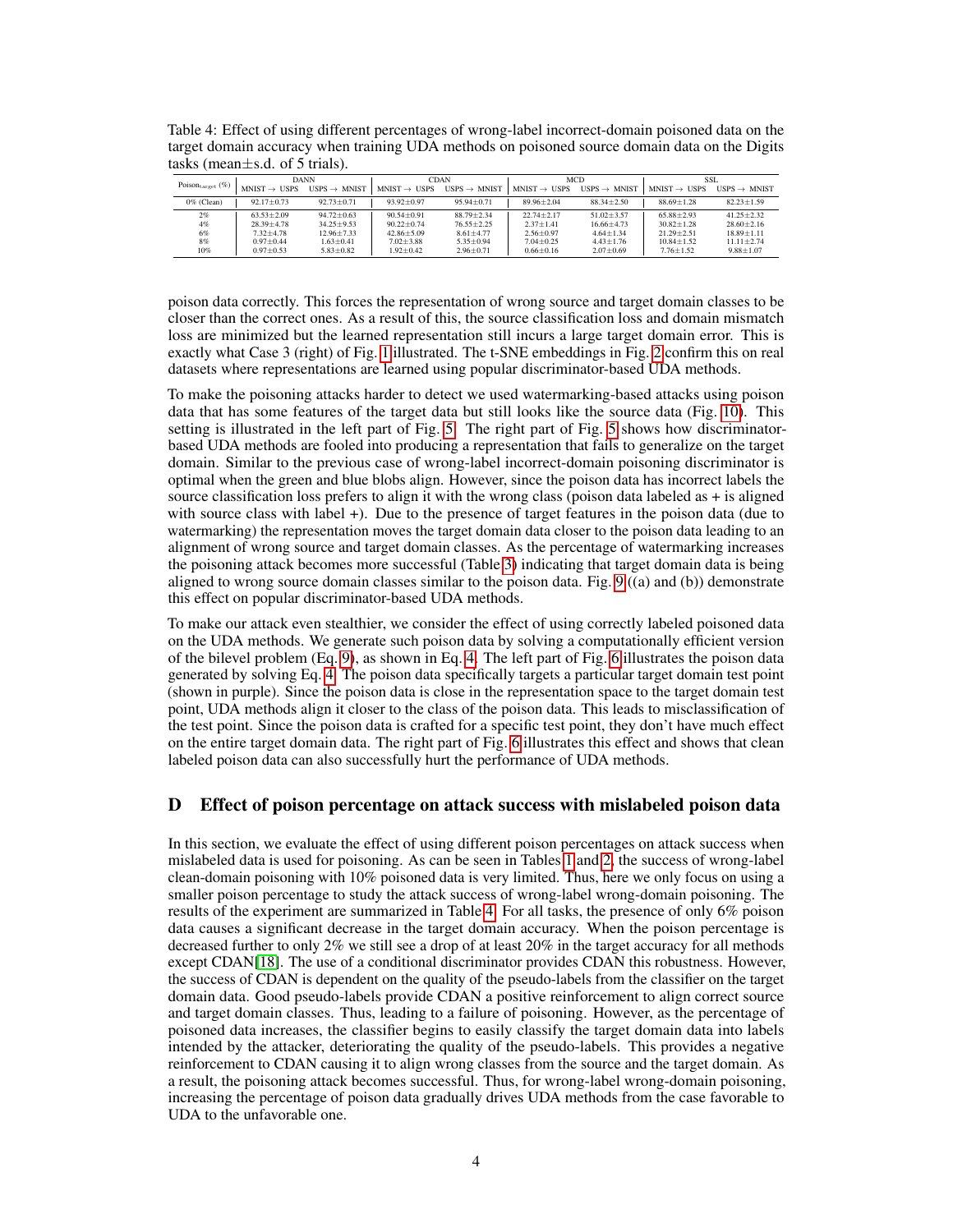<span id="page-3-1"></span>Table 4: Effect of using different percentages of wrong-label incorrect-domain poisoned data on the target domain accuracy when training UDA methods on poisoned source domain data on the Digits tasks (mean $\pm$ s.d. of 5 trials).

|                               | <b>DANN</b>                        |                           | CDAN                             |                                           | MCD                                |                                           | <b>SSL</b>                |                           |
|-------------------------------|------------------------------------|---------------------------|----------------------------------|-------------------------------------------|------------------------------------|-------------------------------------------|---------------------------|---------------------------|
| Poison $_{\text{target}}$ (%) | $MNIST \rightarrow$<br><b>USPS</b> | $USPS \rightarrow M NIST$ | $MNIST \rightarrow \text{IISPS}$ | $^{11}$ SPS $\rightarrow$<br><b>MNIST</b> | $MNIST \rightarrow$<br><b>USPS</b> | $^{11}$ SPS $\rightarrow$<br><b>MNIST</b> | $MNIST \rightarrow IISPS$ | $USPS \rightarrow M NIST$ |
| $0\%$ (Clean)                 | $92.17 \pm 0.73$                   | $92.73 \pm 0.71$          | $93.92 + 0.97$                   | $95.94 \pm 0.71$                          | $89.96 \pm 2.04$                   | $88.34 + 2.50$                            | $88.69 \pm 1.28$          | $82.23 \pm 1.59$          |
| 2%                            | $63.53 + 2.09$                     | $94.72 + 0.63$            | $90.54 + 0.91$                   | $88.79 + 2.34$                            | $22.74 + 2.17$                     | $51.02 + 3.57$                            | $65.88 + 2.93$            | $41.25 + 2.32$            |
| 4%                            | $28.39 + 4.78$                     | $34.25 \pm 9.53$          | $90.22 + 0.74$                   | $76.55 \pm 2.25$                          | $2.37 + 1.41$                      | $16.66 + 4.73$                            | $30.82 + 1.28$            | $28.60 + 2.16$            |
| 6%                            | $7.32 + 4.78$                      | $12.96 \pm 7.33$          | $42.86 \pm 5.09$                 | $8.61 \pm 4.77$                           | $2.56 \pm 0.97$                    | $4.64 \pm 1.34$                           | $21.29 + 2.51$            | $18.89 \pm 1.11$          |
| 8%                            | $0.97 + 0.44$                      | $1.63 \pm 0.41$           | $7.02 + 3.88$                    | $5.35 \pm 0.94$                           | $7.04 + 0.25$                      | $4.43 \pm 1.76$                           | $10.84 + 1.52$            | $11.11 \pm 2.74$          |
| 10%                           | $0.97 + 0.53$                      | $5.83 \pm 0.82$           | $1.92 + 0.42$                    | $2.96 \pm 0.71$                           | $0.66 + 0.16$                      | $2.07 \pm 0.69$                           | $7.76 \pm 1.52$           | $9.88 \pm 1.07$           |

poison data correctly. This forces the representation of wrong source and target domain classes to be closer than the correct ones. As a result of this, the source classification loss and domain mismatch loss are minimized but the learned representation still incurs a large target domain error. This is exactly what Case 3 (right) of Fig. [1](#page--1-5) illustrated. The t-SNE embeddings in Fig. [2](#page--1-5) confirm this on real datasets where representations are learned using popular discriminator-based UDA methods.

To make the poisoning attacks harder to detect we used watermarking-based attacks using poison data that has some features of the target data but still looks like the source data (Fig. [10\)](#page-7-1). This setting is illustrated in the left part of Fig. [5.](#page--1-8) The right part of Fig. [5](#page--1-8) shows how discriminatorbased UDA methods are fooled into producing a representation that fails to generalize on the target domain. Similar to the previous case of wrong-label incorrect-domain poisoning discriminator is optimal when the green and blue blobs align. However, since the poison data has incorrect labels the source classification loss prefers to align it with the wrong class (poison data labeled as  $+$  is aligned with source class with label +). Due to the presence of target features in the poison data (due to watermarking) the representation moves the target domain data closer to the poison data leading to an alignment of wrong source and target domain classes. As the percentage of watermarking increases the poisoning attack becomes more successful (Table [3\)](#page--1-5) indicating that target domain data is being aligned to wrong source domain classes similar to the poison data. Fig. [9](#page-4-2) ((a) and (b)) demonstrate this effect on popular discriminator-based UDA methods.

To make our attack even stealthier, we consider the effect of using correctly labeled poisoned data on the UDA methods. We generate such poison data by solving a computationally efficient version of the bilevel problem (Eq. [9\)](#page-4-3), as shown in Eq. [4.](#page--1-9) The left part of Fig. [6](#page--1-10) illustrates the poison data generated by solving Eq. [4.](#page--1-9) The poison data specifically targets a particular target domain test point (shown in purple). Since the poison data is close in the representation space to the target domain test point, UDA methods align it closer to the class of the poison data. This leads to misclassification of the test point. Since the poison data is crafted for a specific test point, they don't have much effect on the entire target domain data. The right part of Fig. [6](#page--1-10) illustrates this effect and shows that clean labeled poison data can also successfully hurt the performance of UDA methods.

# <span id="page-3-0"></span>D Effect of poison percentage on attack success with mislabeled poison data

In this section, we evaluate the effect of using different poison percentages on attack success when mislabeled data is used for poisoning. As can be seen in Tables [1](#page--1-11) and [2,](#page--1-5) the success of wrong-label clean-domain poisoning with 10% poisoned data is very limited. Thus, here we only focus on using a smaller poison percentage to study the attack success of wrong-label wrong-domain poisoning. The results of the experiment are summarized in Table [4.](#page-3-1) For all tasks, the presence of only 6% poison data causes a significant decrease in the target domain accuracy. When the poison percentage is decreased further to only 2% we still see a drop of at least 20% in the target accuracy for all methods except CDAN[\[18\]](#page--1-12). The use of a conditional discriminator provides CDAN this robustness. However, the success of CDAN is dependent on the quality of the pseudo-labels from the classifier on the target domain data. Good pseudo-labels provide CDAN a positive reinforcement to align correct source and target domain classes. Thus, leading to a failure of poisoning. However, as the percentage of poisoned data increases, the classifier begins to easily classify the target domain data into labels intended by the attacker, deteriorating the quality of the pseudo-labels. This provides a negative reinforcement to CDAN causing it to align wrong classes from the source and the target domain. As a result, the poisoning attack becomes successful. Thus, for wrong-label wrong-domain poisoning, increasing the percentage of poison data gradually drives UDA methods from the case favorable to UDA to the unfavorable one.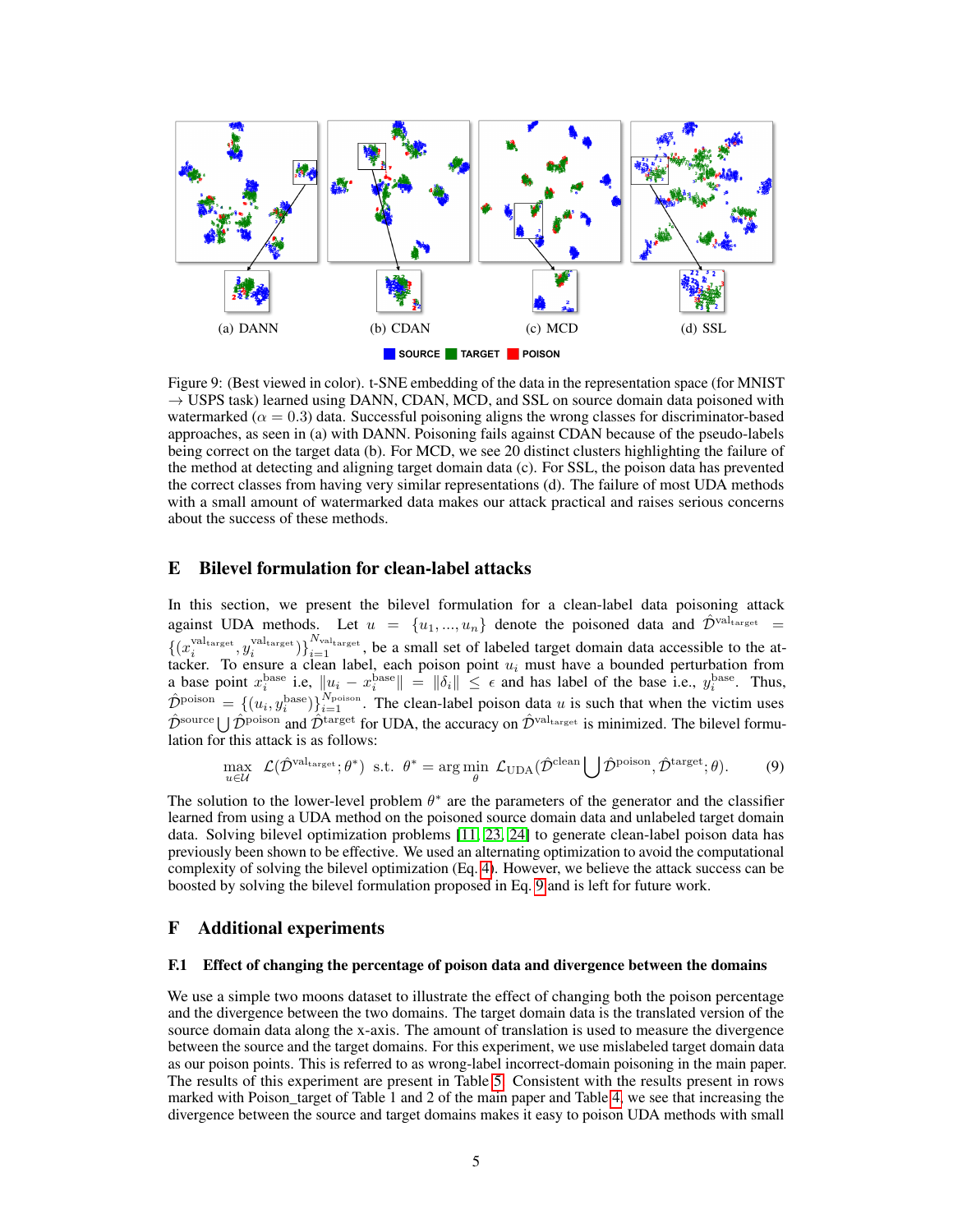<span id="page-4-2"></span>

Figure 9: (Best viewed in color). t-SNE embedding of the data in the representation space (for MNIST  $\rightarrow$  USPS task) learned using DANN, CDAN, MCD, and SSL on source domain data poisoned with watermarked ( $\alpha = 0.3$ ) data. Successful poisoning aligns the wrong classes for discriminator-based approaches, as seen in (a) with DANN. Poisoning fails against CDAN because of the pseudo-labels being correct on the target data (b). For MCD, we see 20 distinct clusters highlighting the failure of the method at detecting and aligning target domain data (c). For SSL, the poison data has prevented the correct classes from having very similar representations (d). The failure of most UDA methods with a small amount of watermarked data makes our attack practical and raises serious concerns about the success of these methods.

# <span id="page-4-0"></span>E Bilevel formulation for clean-label attacks

In this section, we present the bilevel formulation for a clean-label data poisoning attack against UDA methods. Let  $u = \{u_1, ..., u_n\}$  denote the poisoned data and  $\hat{\mathcal{D}}^{\text{val}_{\text{target}}}$  $\{(x_i^{\text{val}_\text{target}}, y_i^{\text{val}_\text{target}})\}_{i=1}^{N_\text{val}_\text{target}}$ , be a small set of labeled target domain data accessible to the attacker. To ensure a clean label, each poison point  $u_i$  must have a bounded perturbation from a base point  $x_i^{\text{base}}$  i.e,  $\|u_i - x_i^{\text{base}}\| = \|\delta_i\| \leq \epsilon$  and has label of the base i.e.,  $y_i^{\text{base}}$ . Thus,  $\hat{\mathcal{D}}^{\text{poison}} = \{(u_i, y_i^{\text{base}})\}_{i=1}^{N_{\text{poison}}}$ . The clean-label poison data u is such that when the victim uses  $\hat{\mathcal{D}}^{\text{source}} \cup \hat{\mathcal{D}}^{\text{poison}}$  and  $\hat{\mathcal{D}}^{\text{target}}$  for UDA, the accuracy on  $\hat{\mathcal{D}}^{\text{val}_{\text{target}}}$  is minimized. The bilevel formulation for this attack is as follows:

<span id="page-4-3"></span>
$$
\max_{u \in \mathcal{U}} \ \mathcal{L}(\hat{\mathcal{D}}^{\text{val}_{\text{target}}}; \theta^*) \ \text{ s.t. } \ \theta^* = \arg\min_{\theta} \ \mathcal{L}_{\text{UDA}}(\hat{\mathcal{D}}^{\text{clean}} \bigcup \hat{\mathcal{D}}^{\text{poison}}, \hat{\mathcal{D}}^{\text{target}}; \theta). \tag{9}
$$

The solution to the lower-level problem  $\theta^*$  are the parameters of the generator and the classifier learned from using a UDA method on the poisoned source domain data and unlabeled target domain data. Solving bilevel optimization problems [\[11,](#page--1-13) [23,](#page--1-14) [24\]](#page--1-15) to generate clean-label poison data has previously been shown to be effective. We used an alternating optimization to avoid the computational complexity of solving the bilevel optimization (Eq. [4\)](#page--1-9). However, we believe the attack success can be boosted by solving the bilevel formulation proposed in Eq. [9](#page-4-3) and is left for future work.

### <span id="page-4-1"></span>F Additional experiments

## F.1 Effect of changing the percentage of poison data and divergence between the domains

We use a simple two moons dataset to illustrate the effect of changing both the poison percentage and the divergence between the two domains. The target domain data is the translated version of the source domain data along the x-axis. The amount of translation is used to measure the divergence between the source and the target domains. For this experiment, we use mislabeled target domain data as our poison points. This is referred to as wrong-label incorrect-domain poisoning in the main paper. The results of this experiment are present in Table [5.](#page-5-0) Consistent with the results present in rows marked with Poison\_target of Table 1 and 2 of the main paper and Table [4,](#page-3-1) we see that increasing the divergence between the source and target domains makes it easy to poison UDA methods with small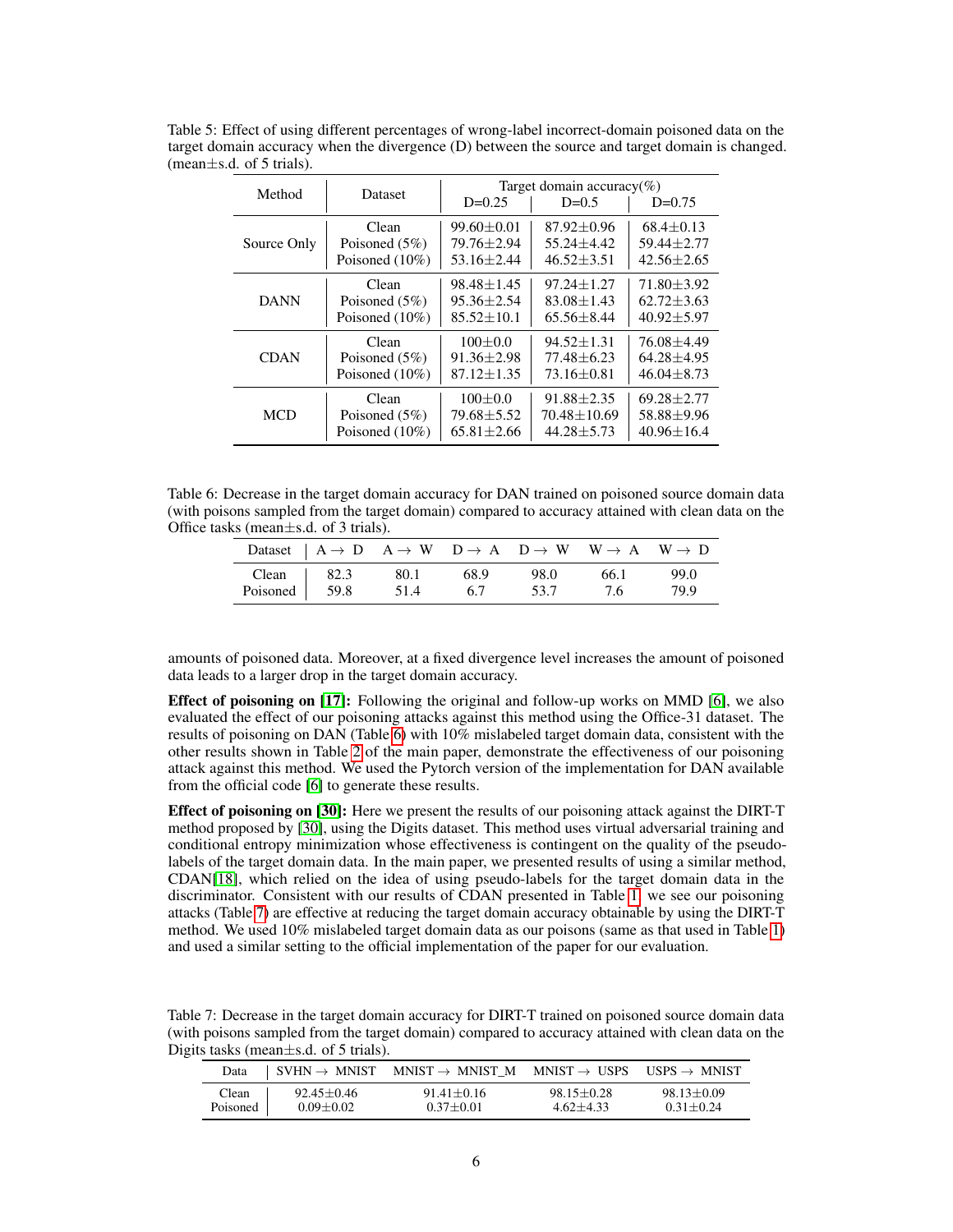| Method      | Dataset           |                  | Target domain accuracy(%)<br>$D=0.25$<br>$D=0.5$<br>$D=0.75$ |                  |  |  |
|-------------|-------------------|------------------|--------------------------------------------------------------|------------------|--|--|
| Source Only | Clean             | $99.60 + 0.01$   | $87.92 + 0.96$                                               | $68.4 + 0.13$    |  |  |
|             | Poisoned $(5\%)$  | $79.76 + 2.94$   | $55.24 + 4.42$                                               | $59.44 + 2.77$   |  |  |
|             | Poisoned $(10\%)$ | $53.16 + 2.44$   | $46.52 + 3.51$                                               | $42.56 + 2.65$   |  |  |
| <b>DANN</b> | Clean             | $98.48 + 1.45$   | $97.24 + 1.27$                                               | $71.80 + 3.92$   |  |  |
|             | Poisoned $(5\%)$  | $95.36 + 2.54$   | $83.08 + 1.43$                                               | $62.72 + 3.63$   |  |  |
|             | Poisoned $(10\%)$ | $85.52 + 10.1$   | $65.56 + 8.44$                                               | $40.92 + 5.97$   |  |  |
| <b>CDAN</b> | Clean             | $100+0.0$        | $94.52 + 1.31$                                               | $76.08 + 4.49$   |  |  |
|             | Poisoned $(5\%)$  | $91.36 + 2.98$   | $77.48 + 6.23$                                               | $64.28 + 4.95$   |  |  |
|             | Poisoned $(10\%)$ | $87.12 + 1.35$   | $73.16 + 0.81$                                               | $46.04 + 8.73$   |  |  |
| <b>MCD</b>  | Clean             | $100+0.0$        | $91.88 + 2.35$                                               | $69.28 + 2.77$   |  |  |
|             | Poisoned $(5%)$   | $79.68 + 5.52$   | $70.48 + 10.69$                                              | $58.88 + 9.96$   |  |  |
|             | Poisoned (10%)    | $65.81 \pm 2.66$ | $44.28 + 5.73$                                               | $40.96 \pm 16.4$ |  |  |

<span id="page-5-0"></span>Table 5: Effect of using different percentages of wrong-label incorrect-domain poisoned data on the target domain accuracy when the divergence (D) between the source and target domain is changed. (mean $\pm$ s.d. of 5 trials).

<span id="page-5-1"></span>Table 6: Decrease in the target domain accuracy for DAN trained on poisoned source domain data (with poisons sampled from the target domain) compared to accuracy attained with clean data on the Office tasks (mean±s.d. of 3 trials).

|                    |        |       | Dataset $A \rightarrow D$ $A \rightarrow W$ $D \rightarrow A$ $D \rightarrow W$ $W \rightarrow A$ $W \rightarrow D$ |      |      |
|--------------------|--------|-------|---------------------------------------------------------------------------------------------------------------------|------|------|
| Clean $\vert$ 82.3 | - 80.1 | -68.9 | 98.0                                                                                                                | 66.1 | 99.0 |
| Poisoned 59.8      | 51.4   | 6.7   | 53.7                                                                                                                | 7.6  | 79.9 |

amounts of poisoned data. Moreover, at a fixed divergence level increases the amount of poisoned data leads to a larger drop in the target domain accuracy.

Effect of poisoning on [\[17\]](#page--1-16): Following the original and follow-up works on MMD [\[6\]](#page--1-17), we also evaluated the effect of our poisoning attacks against this method using the Office-31 dataset. The results of poisoning on DAN (Table [6\)](#page-5-1) with 10% mislabeled target domain data, consistent with the other results shown in Table [2](#page--1-5) of the main paper, demonstrate the effectiveness of our poisoning attack against this method. We used the Pytorch version of the implementation for DAN available from the official code [\[6\]](#page--1-17) to generate these results.

Effect of poisoning on [\[30\]](#page--1-18): Here we present the results of our poisoning attack against the DIRT-T method proposed by [\[30\]](#page--1-18), using the Digits dataset. This method uses virtual adversarial training and conditional entropy minimization whose effectiveness is contingent on the quality of the pseudolabels of the target domain data. In the main paper, we presented results of using a similar method, CDAN[\[18\]](#page--1-12), which relied on the idea of using pseudo-labels for the target domain data in the discriminator. Consistent with our results of CDAN presented in Table [1,](#page--1-11) we see our poisoning attacks (Table [7\)](#page-5-2) are effective at reducing the target domain accuracy obtainable by using the DIRT-T method. We used 10% mislabeled target domain data as our poisons (same as that used in Table [1\)](#page--1-11) and used a similar setting to the official implementation of the paper for our evaluation.

<span id="page-5-2"></span>Table 7: Decrease in the target domain accuracy for DIRT-T trained on poisoned source domain data (with poisons sampled from the target domain) compared to accuracy attained with clean data on the Digits tasks (mean±s.d. of 5 trials).

| Data     | $SVHN \rightarrow MNIST$ | $MNIST \rightarrow MNIST \ M \quad MNIST \rightarrow USPS \quad USPS \rightarrow MNIST$ |                |                |
|----------|--------------------------|-----------------------------------------------------------------------------------------|----------------|----------------|
| Clean    | $92.45 + 0.46$           | $91.41 + 0.16$                                                                          | $98.15 + 0.28$ | $98.13 + 0.09$ |
| Poisoned | $0.09 + 0.02$            | $0.37 + 0.01$                                                                           | $4.62 + 4.33$  | $0.31 + 0.24$  |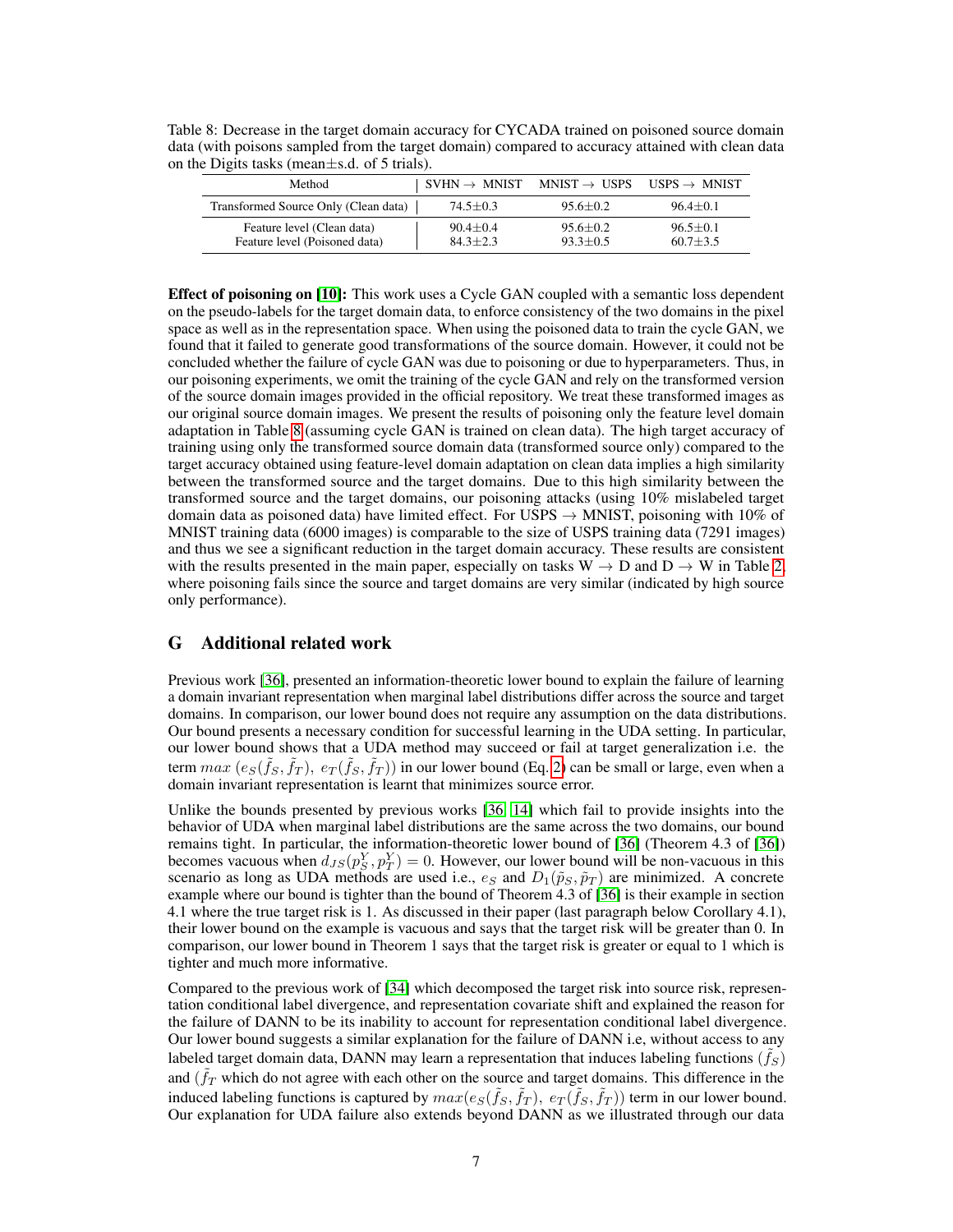<span id="page-6-1"></span>Table 8: Decrease in the target domain accuracy for CYCADA trained on poisoned source domain data (with poisons sampled from the target domain) compared to accuracy attained with clean data on the Digits tasks (mean±s.d. of 5 trials).

| Method                                                      | $SVHN \rightarrow MNIST$     | $MNIST \rightarrow USPS$       | $USPS \rightarrow MNIST$     |
|-------------------------------------------------------------|------------------------------|--------------------------------|------------------------------|
| Transformed Source Only (Clean data)                        | $74.5 + 0.3$                 | $95.6 + 0.2$                   | $96.4 + 0.1$                 |
| Feature level (Clean data)<br>Feature level (Poisoned data) | $90.4 + 0.4$<br>$84.3 + 2.3$ | $95.6 \pm 0.2$<br>$93.3 + 0.5$ | $96.5 + 0.1$<br>$60.7 + 3.5$ |

Effect of poisoning on [\[10\]](#page--1-19): This work uses a Cycle GAN coupled with a semantic loss dependent on the pseudo-labels for the target domain data, to enforce consistency of the two domains in the pixel space as well as in the representation space. When using the poisoned data to train the cycle GAN, we found that it failed to generate good transformations of the source domain. However, it could not be concluded whether the failure of cycle GAN was due to poisoning or due to hyperparameters. Thus, in our poisoning experiments, we omit the training of the cycle GAN and rely on the transformed version of the source domain images provided in the official repository. We treat these transformed images as our original source domain images. We present the results of poisoning only the feature level domain adaptation in Table [8](#page-6-1) (assuming cycle GAN is trained on clean data). The high target accuracy of training using only the transformed source domain data (transformed source only) compared to the target accuracy obtained using feature-level domain adaptation on clean data implies a high similarity between the transformed source and the target domains. Due to this high similarity between the transformed source and the target domains, our poisoning attacks (using 10% mislabeled target domain data as poisoned data) have limited effect. For USPS  $\rightarrow$  MNIST, poisoning with 10% of MNIST training data (6000 images) is comparable to the size of USPS training data (7291 images) and thus we see a significant reduction in the target domain accuracy. These results are consistent with the results presented in the main paper, especially on tasks  $W \rightarrow D$  and  $D \rightarrow W$  in Table [2,](#page--1-5) where poisoning fails since the source and target domains are very similar (indicated by high source only performance).

# <span id="page-6-0"></span>G Additional related work

Previous work [\[36\]](#page--1-20), presented an information-theoretic lower bound to explain the failure of learning a domain invariant representation when marginal label distributions differ across the source and target domains. In comparison, our lower bound does not require any assumption on the data distributions. Our bound presents a necessary condition for successful learning in the UDA setting. In particular, our lower bound shows that a UDA method may succeed or fail at target generalization i.e. the term  $max (e_S(\tilde{f}_S, \tilde{f}_T), e_T(\tilde{f}_S, \tilde{f}_T))$  in our lower bound (Eq. [2\)](#page--1-2) can be small or large, even when a domain invariant representation is learnt that minimizes source error.

Unlike the bounds presented by previous works [\[36,](#page--1-20) [14\]](#page--1-21) which fail to provide insights into the behavior of UDA when marginal label distributions are the same across the two domains, our bound remains tight. In particular, the information-theoretic lower bound of [\[36\]](#page--1-20) (Theorem 4.3 of [\[36\]](#page--1-20)) becomes vacuous when  $d_{JS}(p_S^Y, p_T^Y) = 0$ . However, our lower bound will be non-vacuous in this scenario as long as UDA methods are used i.e.,  $e_S$  and  $D_1(\tilde{p}_S, \tilde{p}_T)$  are minimized. A concrete example where our bound is tighter than the bound of Theorem 4.3 of [\[36\]](#page--1-20) is their example in section 4.1 where the true target risk is 1. As discussed in their paper (last paragraph below Corollary 4.1), their lower bound on the example is vacuous and says that the target risk will be greater than 0. In comparison, our lower bound in Theorem 1 says that the target risk is greater or equal to 1 which is tighter and much more informative.

Compared to the previous work of [\[34\]](#page--1-22) which decomposed the target risk into source risk, representation conditional label divergence, and representation covariate shift and explained the reason for the failure of DANN to be its inability to account for representation conditional label divergence. Our lower bound suggests a similar explanation for the failure of DANN i.e, without access to any labeled target domain data, DANN may learn a representation that induces labeling functions  $(\tilde{f}_S)$ and  $(\tilde{f}_T$  which do not agree with each other on the source and target domains. This difference in the induced labeling functions is captured by  $max(e_S(\tilde{f}_S, \tilde{f}_T), e_T(\tilde{f}_S, \tilde{f}_T))$  term in our lower bound. Our explanation for UDA failure also extends beyond DANN as we illustrated through our data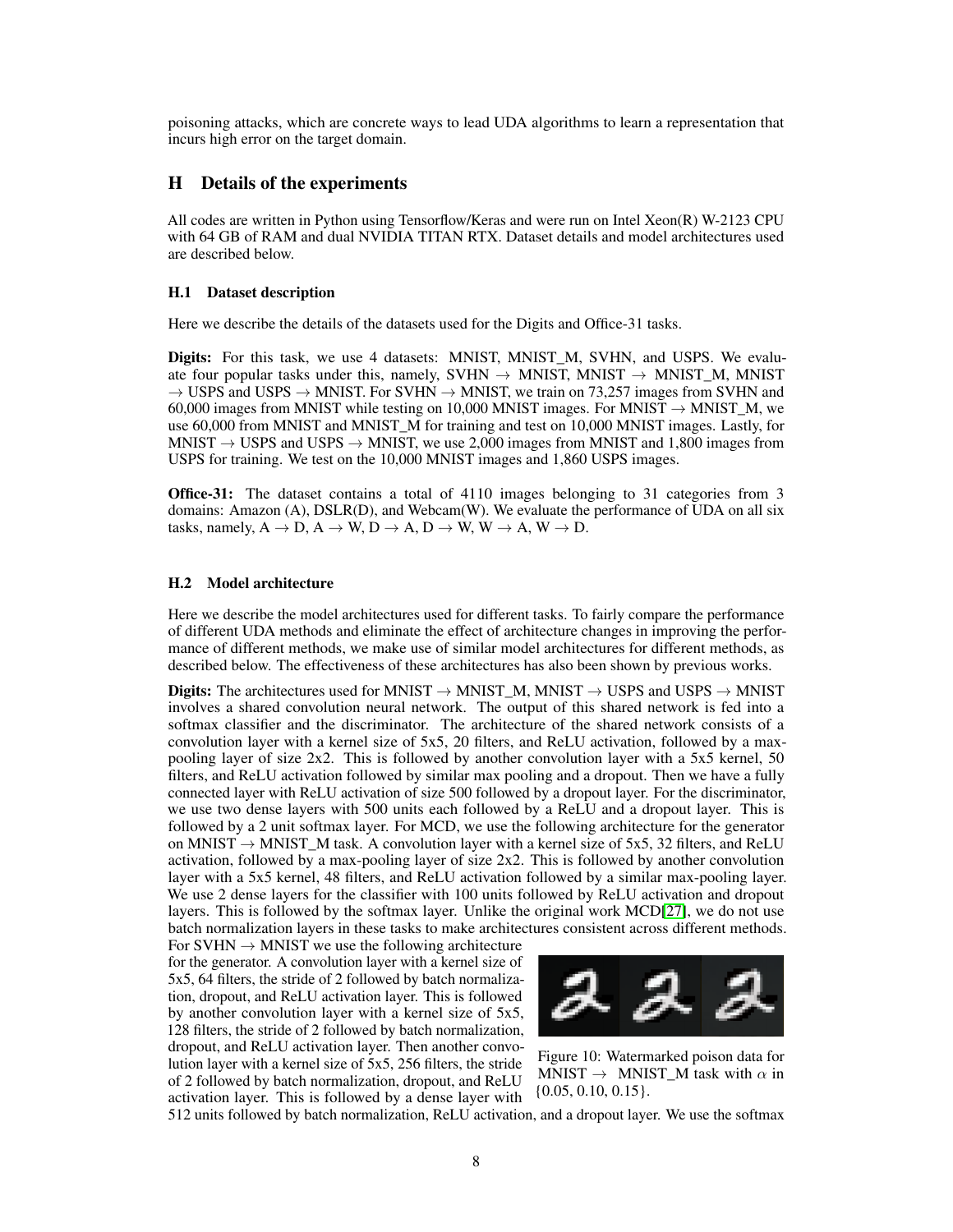poisoning attacks, which are concrete ways to lead UDA algorithms to learn a representation that incurs high error on the target domain.

## <span id="page-7-0"></span>H Details of the experiments

All codes are written in Python using Tensorflow/Keras and were run on Intel Xeon(R) W-2123 CPU with 64 GB of RAM and dual NVIDIA TITAN RTX. Dataset details and model architectures used are described below.

#### H.1 Dataset description

Here we describe the details of the datasets used for the Digits and Office-31 tasks.

Digits: For this task, we use 4 datasets: MNIST, MNIST\_M, SVHN, and USPS. We evaluate four popular tasks under this, namely, SVHN  $\rightarrow$  MNIST, MNIST  $\rightarrow$  MNIST\_M, MNIST  $\rightarrow$  USPS and USPS  $\rightarrow$  MNIST. For SVHN  $\rightarrow$  MNIST, we train on 73,257 images from SVHN and 60,000 images from MNIST while testing on 10,000 MNIST images. For MNIST  $\rightarrow$  MNIST  $\cancel{M}$ , we use 60,000 from MNIST and MNIST\_M for training and test on 10,000 MNIST images. Lastly, for MNIST  $\rightarrow$  USPS and USPS  $\rightarrow$  MNIST, we use 2,000 images from MNIST and 1,800 images from USPS for training. We test on the 10,000 MNIST images and 1,860 USPS images.

**Office-31:** The dataset contains a total of 4110 images belonging to 31 categories from 3 domains: Amazon (A), DSLR(D), and Webcam(W). We evaluate the performance of UDA on all six tasks, namely,  $A \rightarrow D$ ,  $A \rightarrow W$ ,  $D \rightarrow A$ ,  $D \rightarrow W$ ,  $W \rightarrow A$ ,  $W \rightarrow D$ .

#### H.2 Model architecture

Here we describe the model architectures used for different tasks. To fairly compare the performance of different UDA methods and eliminate the effect of architecture changes in improving the performance of different methods, we make use of similar model architectures for different methods, as described below. The effectiveness of these architectures has also been shown by previous works.

Digits: The architectures used for MNIST  $\rightarrow$  MNIST  $\rightarrow$  MNIST  $\rightarrow$  USPS and USPS  $\rightarrow$  MNIST involves a shared convolution neural network. The output of this shared network is fed into a softmax classifier and the discriminator. The architecture of the shared network consists of a convolution layer with a kernel size of 5x5, 20 filters, and ReLU activation, followed by a maxpooling layer of size 2x2. This is followed by another convolution layer with a 5x5 kernel, 50 filters, and ReLU activation followed by similar max pooling and a dropout. Then we have a fully connected layer with ReLU activation of size 500 followed by a dropout layer. For the discriminator, we use two dense layers with 500 units each followed by a ReLU and a dropout layer. This is followed by a 2 unit softmax layer. For MCD, we use the following architecture for the generator on MNIST  $\rightarrow$  MNIST M task. A convolution layer with a kernel size of 5x5, 32 filters, and ReLU activation, followed by a max-pooling layer of size 2x2. This is followed by another convolution layer with a 5x5 kernel, 48 filters, and ReLU activation followed by a similar max-pooling layer. We use 2 dense layers for the classifier with 100 units followed by ReLU activation and dropout layers. This is followed by the softmax layer. Unlike the original work MCD[\[27\]](#page--1-23), we do not use batch normalization layers in these tasks to make architectures consistent across different methods.

For SVHN  $\rightarrow$  MNIST we use the following architecture for the generator. A convolution layer with a kernel size of 5x5, 64 filters, the stride of 2 followed by batch normalization, dropout, and ReLU activation layer. This is followed by another convolution layer with a kernel size of 5x5, 128 filters, the stride of 2 followed by batch normalization, dropout, and ReLU activation layer. Then another convolution layer with a kernel size of 5x5, 256 filters, the stride of 2 followed by batch normalization, dropout, and ReLU activation layer. This is followed by a dense layer with

<span id="page-7-1"></span>

Figure 10: Watermarked poison data for MNIST  $\rightarrow$  MNIST\_M task with  $\alpha$  in {0.05, 0.10, 0.15}.

512 units followed by batch normalization, ReLU activation, and a dropout layer. We use the softmax